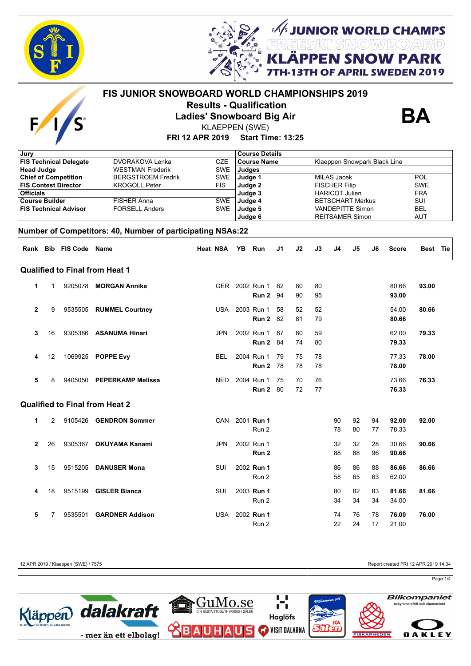

 $\overline{E}$ 



**UNIOR WORLD CHAMPS<br>ESIKI SNOWBOARD SNOW PARK** 

# **APRIL SWEDEN 2019**

## **FRI 12 APR 2019 Start Time: 13:25 FIS JUNIOR SNOWBOARD WORLD CHAMPIONSHIPS 2019 Results - Qualification Ladies' Snowboard Big Air** KLAEPPEN (SWE)



| Jury                                                            |              |                              |                                                            |            |                    | <b>Course Details</b> |    |                              |                        |                         |                          |    |              |            |  |  |
|-----------------------------------------------------------------|--------------|------------------------------|------------------------------------------------------------|------------|--------------------|-----------------------|----|------------------------------|------------------------|-------------------------|--------------------------|----|--------------|------------|--|--|
| <b>FIS Technical Delegate</b><br><b>DVORAKOVA Lenka</b>         |              |                              | <b>CZE</b>                                                 |            | <b>Course Name</b> |                       |    | Klaeppen Snowpark Black Line |                        |                         |                          |    |              |            |  |  |
| <b>Head Judge</b>                                               |              |                              | <b>WESTMAN Frederik</b>                                    | <b>SWE</b> | Judges             |                       |    |                              |                        |                         |                          |    |              |            |  |  |
| <b>Chief of Competition</b>                                     |              |                              | <b>BERGSTROEM Fredrik</b>                                  | <b>SWE</b> | Judge 1            |                       |    |                              |                        | <b>MILAS Jacek</b>      |                          |    |              | <b>POL</b> |  |  |
|                                                                 |              | <b>FIS Contest Director</b>  | <b>KROGOLL Peter</b>                                       | <b>FIS</b> | Judge 2            |                       |    |                              |                        | <b>FISCHER Filip</b>    | <b>SWE</b>               |    |              |            |  |  |
| <b>Officials</b><br><b>Course Builder</b><br><b>FISHER Anna</b> |              |                              |                                                            |            | Judge 3            |                       |    |                              |                        | <b>HARICOT Julien</b>   | <b>FRA</b><br><b>SUI</b> |    |              |            |  |  |
|                                                                 |              |                              |                                                            | <b>SWE</b> | Judge 4            |                       |    |                              |                        | <b>BETSCHART Markus</b> |                          |    |              |            |  |  |
|                                                                 |              | <b>FIS Technical Advisor</b> | <b>FORSELL Anders</b>                                      | <b>SWE</b> | Judge 5            |                       |    |                              |                        | <b>VANDEPITTE Simon</b> | <b>BEL</b>               |    |              |            |  |  |
|                                                                 |              |                              |                                                            |            | Judge 6            |                       |    |                              | <b>REITSAMER Simon</b> |                         |                          |    |              | <b>AUT</b> |  |  |
|                                                                 |              |                              | Number of Competitors: 40, Number of participating NSAs:22 |            |                    |                       |    |                              |                        |                         |                          |    |              |            |  |  |
|                                                                 |              | Rank Bib FIS Code Name       |                                                            | Heat NSA   | YB.                | Run                   | J1 | J2                           | J3                     | J4                      | J5                       | J6 | <b>Score</b> | Best Tie   |  |  |
|                                                                 |              |                              | <b>Qualified to Final from Heat 1</b>                      |            |                    |                       |    |                              |                        |                         |                          |    |              |            |  |  |
| 1                                                               | $\mathbf{1}$ |                              | 9205078 MORGAN Annika                                      |            |                    | GER 2002 Run 1        | 82 | 80                           | 80                     |                         |                          |    | 80.66        | 93.00      |  |  |
|                                                                 |              |                              |                                                            |            |                    | Run 2                 | 94 | 90                           | 95                     |                         |                          |    | 93.00        |            |  |  |
| $\overline{2}$                                                  | 9            |                              | 9535505 RUMMEL Courtney                                    | <b>USA</b> |                    | 2003 Run 1            | 58 | 52                           | 52                     |                         |                          |    | 54.00        | 80.66      |  |  |
|                                                                 |              |                              |                                                            |            |                    | Run 2                 | 82 | 81                           | 79                     |                         |                          |    | 80.66        |            |  |  |
| 3                                                               | 16           | 9305386                      | <b>ASANUMA Hinari</b>                                      | <b>JPN</b> |                    | 2002 Run 1            | 67 | 60                           | 59                     |                         |                          |    | 62.00        | 79.33      |  |  |
|                                                                 |              |                              |                                                            |            |                    | Run 2                 | 84 | 74                           | 80                     |                         |                          |    | 79.33        |            |  |  |
| 4                                                               | 12           |                              | 1069925 POPPE Evy                                          | <b>BEL</b> |                    | 2004 Run 1            | 79 | 75                           | 78                     |                         |                          |    | 77.33        | 78.00      |  |  |
|                                                                 |              |                              |                                                            |            |                    | Run 2                 | 78 | 78                           | 78                     |                         |                          |    | 78.00        |            |  |  |
| 5                                                               | 8            | 9405050                      | <b>PEPERKAMP Melissa</b>                                   | <b>NED</b> |                    | 2004 Run 1            | 75 | 70                           | 76                     |                         |                          |    | 73.66        | 76.33      |  |  |
|                                                                 |              |                              |                                                            |            |                    | Run 2                 | 80 | 72                           | 77                     |                         |                          |    | 76.33        |            |  |  |
|                                                                 |              |                              | <b>Qualified to Final from Heat 2</b>                      |            |                    |                       |    |                              |                        |                         |                          |    |              |            |  |  |
| 1                                                               | 2            |                              | 9105426 GENDRON Sommer                                     | CAN        |                    | 2001 <b>Run 1</b>     |    |                              |                        | 90                      | 92                       | 94 | 92.00        | 92.00      |  |  |
|                                                                 |              |                              |                                                            |            |                    | Run 2                 |    |                              |                        | 78                      | 80                       | 77 | 78.33        |            |  |  |
| $\mathbf{2}$                                                    | 26           | 9305367                      | <b>OKUYAMA Kanami</b>                                      | <b>JPN</b> |                    | 2002 Run 1            |    |                              |                        | 32                      | 32                       | 28 | 30.66        | 90.66      |  |  |
|                                                                 |              |                              |                                                            |            |                    | Run 2                 |    |                              |                        | 88                      | 88                       | 96 | 90.66        |            |  |  |
| 3                                                               | 15           | 9515205                      | <b>DANUSER Mona</b>                                        | SUI        |                    | 2002 Run 1            |    |                              |                        | 86                      | 86                       | 88 | 86.66        | 86.66      |  |  |
|                                                                 |              |                              |                                                            |            |                    | Run 2                 |    |                              |                        | 58                      | 65                       | 63 | 62.00        |            |  |  |
| 4                                                               | 18           | 9515199                      | <b>GISLER Bianca</b>                                       | SUI        |                    | 2003 Run 1            |    |                              |                        | 80                      | 82                       | 83 | 81.66        | 81.66      |  |  |
|                                                                 |              |                              |                                                            |            |                    | Run 2                 |    |                              |                        | 34                      | 34                       | 34 | 34.00        |            |  |  |
| 5                                                               | 7            | 9535501                      | <b>GARDNER Addison</b>                                     | <b>USA</b> |                    | 2002 Run 1            |    |                              |                        | 74                      | 76                       | 78 | 76.00        | 76.00      |  |  |
|                                                                 |              |                              |                                                            |            |                    | Run 2                 |    |                              |                        | 22                      | 24                       | 17 | 21.00        |            |  |  |

12 APR 2019 / Klaeppen (SWE) / 7575 Report created FRI 12 APR 2019 14:34

Page 1/4

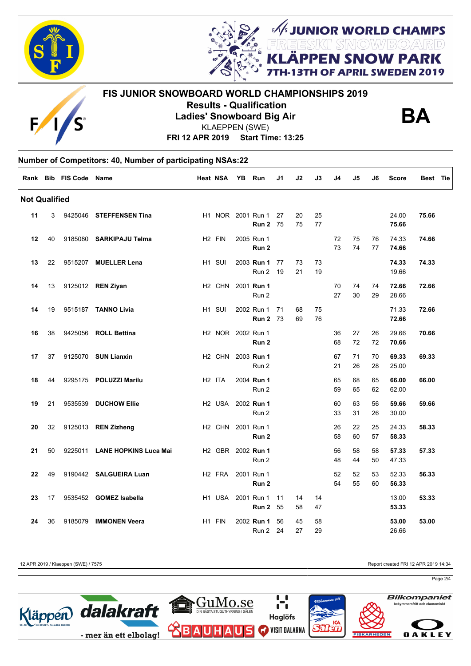



**J SNOW PARK OF APRIL SWEDEN 2019** 

**M/s JUNIOR WORLD CHAMPS** 



### **FIS JUNIOR SNOWBOARD WORLD CHAMPIONSHIPS 2019 Results - Qualification Ladies' Snowboard Big Air**



**FRI 12 APR 2019 Start Time: 13:25** KLAEPPEN (SWE)

# **Number of Competitors: 40, Number of participating NSAs:22 Rank Bib FIS Code Name Heat NSA YB Run J1 J2 J3 J4 J5 J6 Score Best Tie Not Qualified 11** 3 9425046 **STEFFENSEN Tina** H1 NOR 2001 Run 1 27 20 25 24.00 **75.66 11** 3 NOR 2001 **Run 2** 75 75 77 **75.66 12** 40 9185080 **SARKIPAJU Telma** H2 FIN 2005 Run 1 72 75 76 74.33 **74.66 12** 40 FIN 2005 **Run 2** 73 74 77 **74.66 13** 22 9515207 **MUELLER Lena** H1 SUI 2003 **Run 1** 77 73 73 **74.33 74.33 13** 22 SUI 2003 Run 2 19 21 19 19.66 **14** 13 9125012 **REN Ziyan** H2 CHN 2001 **Run 1** 70 74 74 **72.66 72.66 14** 13 CHN 2001 Run 2 27 30 29 28.66 **14** 19 9515187 **TANNO Livia** H1 SUI 2002 Run 1 71 68 75 71.33 **72.66 14** 19 SUI 2002 **Run 2** 73 69 76 **72.66 16** 38 9425056 **ROLL Bettina** H2 NOR 2002 Run 1 36 27 26 29.66 **70.66 16** 38 NOR 2002 **Run 2** 68 72 72 **70.66 17** 37 9125070 **SUN Lianxin** H2 CHN 2003 **Run 1** 67 71 70 **69.33 69.33 17** 37 CHN 2003 Run 2 21 26 28 25.00 **18** 44 9295175 **POLUZZI Marilu** H2 ITA 2004 **Run 1** 65 68 65 **66.00 66.00 18** 44 ITA 2004 Run 2 59 65 62 62.00 **19** 21 9535539 **DUCHOW Ellie** H2 USA 2002 **Run 1** 60 63 56 **59.66 59.66 19 2002 Run 2 2003 Run 2 33 31 26 30.00 20** 32 9125013 **REN Zizheng** H2 CHN 2001 Run 1 26 22 25 24.33 **58.33 20** 32 CHN 2001 **Run 2** 58 60 57 **58.33 21** 50 9225011 **LANE HOPKINS Luca Mai** H2 GBR 2002 **Run 1** 56 58 58 **57.33 57.33 21 12 50 Francisco Run 2 48 44 50 47.33 22** 49 9190442 **SALGUEIRA Luan** H2 FRA 2001 Run 1 52 52 53 52.33 **56.33 22** 49 FRA 2001 **Run 2** 54 55 60 **56.33 23** 17 9535452 **GOMEZ Isabella** H1 USA 2001 Run 1 11 14 14 13.00 **53.33 23 23 23 23 23 24 25 <b>24 25** 25 **24 53.33 53.33 24** 36 9185079 **IMMONEN Veera** H1 FIN 2002 **Run 1** 56 45 58 **53.00 53.00 24 Run 2 24 27 29 26.66 24 27 29 26.66**

12 APR 2019 / Klaeppen (SWE) / 7575 Report created FRI 12 APR 2019 14:34

Page 2/4

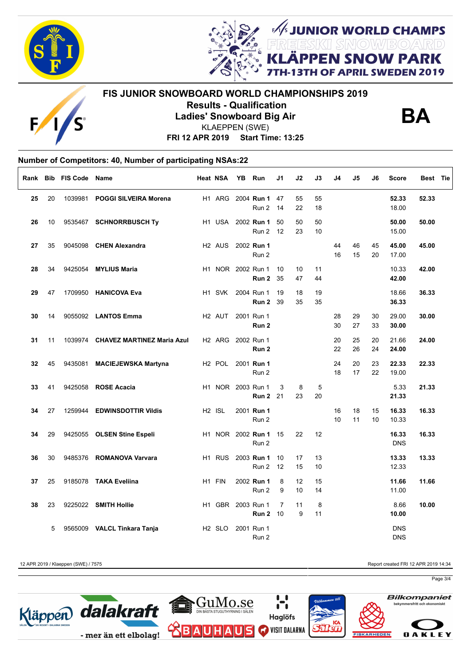



**I SNOW PARK** OF APRIL SWEDEN 2019

**FIS JUNIOR SNOWBOARD WORLD CHAMPIONSHIPS 2019 Results - Qualification Ladies' Snowboard Big Air** KLAEPPEN (SWE)



**JUNIOR WORLD CHAMPS<br>EESKII SMOW/BO/ARD<br># DDLLL ALLOULL DADIE** 

**FRI 12 APR 2019 Start Time: 13:25**

### **Number of Competitors: 40, Number of participating NSAs:22**  $\Gamma$

| Rank | <b>Bib</b> | <b>FIS Code Name</b> |                                    | Heat NSA           | ΥB | Run                            | J1             | J2       | J3       | J4       | J5       | J6       | <b>Score</b>             | Best Tie |
|------|------------|----------------------|------------------------------------|--------------------|----|--------------------------------|----------------|----------|----------|----------|----------|----------|--------------------------|----------|
| 25   | 20         | 1039981              | <b>POGGI SILVEIRA Morena</b>       | H1 ARG             |    | 2004 Run 1<br>Run 2            | 47<br>14       | 55<br>22 | 55<br>18 |          |          |          | 52.33<br>18.00           | 52.33    |
| 26   | 10         |                      | 9535467 SCHNORRBUSCH Ty            |                    |    | H1 USA 2002 Run 1<br>Run 2     | 50<br>12       | 50<br>23 | 50<br>10 |          |          |          | 50.00<br>15.00           | 50.00    |
| 27   | 35         |                      | 9045098 CHEN Alexandra             | H <sub>2</sub> AUS |    | 2002 Run 1<br>Run 2            |                |          |          | 44<br>16 | 46<br>15 | 45<br>20 | 45.00<br>17.00           | 45.00    |
| 28   | 34         |                      | 9425054 MYLIUS Maria               | H1 NOR 2002 Run 1  |    | Run 2                          | 10<br>35       | 10<br>47 | 11<br>44 |          |          |          | 10.33<br>42.00           | 42.00    |
| 29   | 47         |                      | 1709950 HANICOVA Eva               | H <sub>1</sub> SVK |    | 2004 Run 1<br>Run 2            | 19<br>39       | 18<br>35 | 19<br>35 |          |          |          | 18.66<br>36.33           | 36.33    |
| 30   | 14         |                      | 9055092 LANTOS Emma                | H <sub>2</sub> AUT |    | 2001 Run 1<br>Run <sub>2</sub> |                |          |          | 28<br>30 | 29<br>27 | 30<br>33 | 29.00<br>30.00           | 30.00    |
| 31   | 11         |                      | 1039974 CHAVEZ MARTINEZ Maria Azul | H2 ARG 2002 Run 1  |    | Run 2                          |                |          |          | 20<br>22 | 25<br>26 | 20<br>24 | 21.66<br>24.00           | 24.00    |
| 32   | 45         | 9435081              | <b>MACIEJEWSKA Martyna</b>         | H <sub>2</sub> POL |    | 2001 Run 1<br>Run 2            |                |          |          | 24<br>18 | 20<br>17 | 23<br>22 | 22.33<br>19.00           | 22.33    |
| 33   | 41         |                      | 9425058 ROSE Acacia                | H1 NOR 2003 Run 1  |    | <b>Run 2</b> 21                | 3              | 8<br>23  | 5<br>20  |          |          |          | 5.33<br>21.33            | 21.33    |
| 34   | 27         | 1259944              | <b>EDWINSDOTTIR Vildis</b>         | H <sub>2</sub> ISL |    | 2001 Run 1<br>Run 2            |                |          |          | 16<br>10 | 18<br>11 | 15<br>10 | 16.33<br>10.33           | 16.33    |
| 34   | 29         |                      | 9425055 OLSEN Stine Espeli         |                    |    | H1 NOR 2002 Run 1<br>Run 2     | 15             | 22       | 12       |          |          |          | 16.33<br><b>DNS</b>      | 16.33    |
| 36   | 30         |                      | 9485376 ROMANOVA Varvara           | H1 RUS             |    | 2003 Run 1<br>Run 2            | 10<br>12       | 17<br>15 | 13<br>10 |          |          |          | 13.33<br>12.33           | 13.33    |
| 37   | 25         |                      | 9185078 TAKA Eveliina              | H1 FIN             |    | 2002 Run 1<br>Run 2            | 8<br>9         | 12<br>10 | 15<br>14 |          |          |          | 11.66<br>11.00           | 11.66    |
| 38   | 23         |                      | 9225022 SMITH Hollie               | H1 GBR 2003 Run 1  |    | <b>Run 2 10</b>                | $\overline{7}$ | 11<br>9  | 8<br>11  |          |          |          | 8.66<br>10.00            | 10.00    |
|      | 5          | 9565009              | <b>VALCL Tinkara Tanja</b>         | H <sub>2</sub> SLO |    | 2001 Run 1<br>Run 2            |                |          |          |          |          |          | <b>DNS</b><br><b>DNS</b> |          |

12 APR 2019 / Klaeppen (SWE) / 7575 Report created FRI 12 APR 2019 14:34

Page 3/4